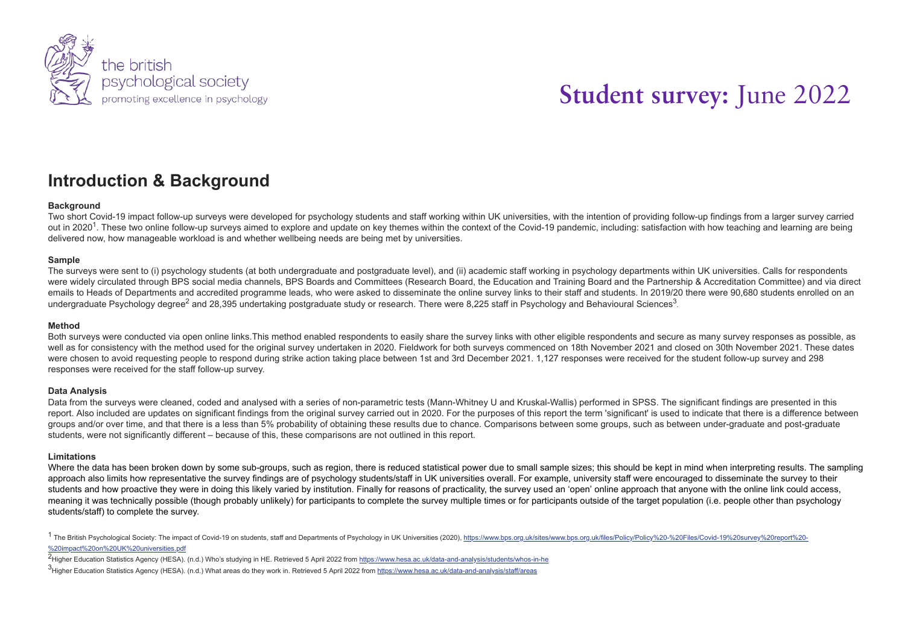

### **Introduction & Background**

### **Background**

Two short Covid-19 impact follow-up surveys were developed for psychology students and staff working within UK universities, with the intention of providing follow-up findings from a larger survey carried out in 2020<sup>1</sup>. These two online follow-up surveys aimed to explore and update on key themes within the context of the Covid-19 pandemic, including: satisfaction with how teaching and learning are being delivered now, how manageable workload is and whether wellbeing needs are being met by universities.

### **Sample**

The surveys were sent to (i) psychology students (at both undergraduate and postgraduate level), and (ii) academic staff working in psychology departments within UK universities. Calls for respondents were widely circulated through BPS social media channels, BPS Boards and Committees (Research Board, the Education and Training Board and the Partnership & Accreditation Committee) and via direct emails to Heads of Departments and accredited programme leads, who were asked to disseminate the online survey links to their staff and students. In 2019/20 there were 90,680 students enrolled on an undergraduate Psychology degree<sup>2</sup> and 28,395 undertaking postgraduate study or research. There were 8,225 staff in Psychology and Behavioural Sciences<sup>3</sup>.

### **Method**

Both surveys were conducted via open online links. This method enabled respondents to easily share the survey links with other eligible respondents and secure as many survey responses as possible, as well as for consistency with the method used for the original survey undertaken in 2020. Fieldwork for both surveys commenced on 18th November 2021 and closed on 30th November 2021. These dates were chosen to avoid requesting people to respond during strike action taking place between 1st and 3rd December 2021, 1,127 responses were received for the student follow-up survey and 298 responses were received for the staff follow-up survey.

### **Data Analysis**

Data from the surveys were cleaned, coded and analysed with a series of non-parametric tests (Mann-Whitney U and Kruskal-Wallis) performed in SPSS. The significant findings are presented in this report. Also included are updates on significant findings from the original survey carried out in 2020. For the purposes of this report the term 'significant' is used to indicate that there is a difference between groups and/or over time, and that there is a less than 5% probability of obtaining these results due to chance. Comparisons between some groups, such as between under-graduate and post-graduate students, were not significantly different – because of this, these comparisons are not outlined in this report.

### **Limitations**

Where the data has been broken down by some sub-groups, such as region, there is reduced statistical power due to small sample sizes; this should be kept in mind when interpreting results. The sampling approach also limits how representative the survey findings are of psychology students/staff in UK universities overall. For example, university staff were encouraged to disseminate the survey to their students and how proactive they were in doing this likely varied by institution. Finally for reasons of practicality, the survey used an 'open' online approach that anyone with the online link could access, meaning it was technically possible (though probably unlikely) for participants to complete the survey multiple times or for participants outside of the target population (i.e. people other than psychology students/staff) to complete the survey.

<sup>1</sup> The British Psychological Society: The impact of Covid-19 on students, staff and Departments of Psychology in UK Universities (2020), https://www.bps.org.uk/sites/www.bps.org.uk/files/Policy/Policy/Policy%20-%20Files/C %20impact%20on%20UK%20universities.pdf

2<br>Higher Education Statistics Agency (HESA). (n.d.) Who's studying in HE. Retrieved 5 April 2022 from <u>https://www.hesa.ac.uk/data-and-analysis/students/whos-in-he</u> 3<br>Higher Education Statistics Agency (HESA). (n.d.) What areas do they work in. Retrieved 5 April 2022 from <u>https://www.hesa.ac.uk/data-and-analysis/staff/areas</u>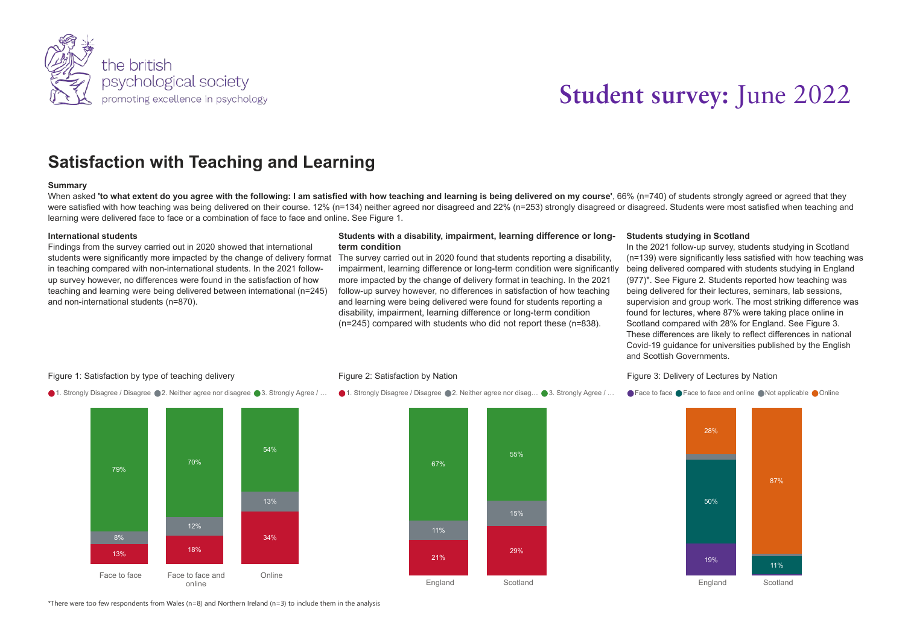

### **Satisfaction with Teaching and Learning**

### **Summary**

When asked 'to what extent do you agree with the following: I am satisfied with how teaching and learning is being delivered on my course'. 66% (n=740) of students strongly agreed or agreed that they were satisfied with how teaching was being delivered on their course. 12% (n=134) neither agreed nor disagreed and 22% (n=253) strongly disagreed or disagreed. Students were most satisfied when teaching and learning were delivered face to face or a combination of face to face and online. See Figure 1.

#### **International students**

Findings from the survey carried out in 2020 showed that international students were significantly more impacted by the change of delivery format in teaching compared with non-international students. In the 2021 followup survey however, no differences were found in the satisfaction of how teaching and learning were being delivered between international (n=245) and non-international students (n=870).

#### **Students with a disability, impairment, learning difference or longterm condition**

The survey carried out in 2020 found that students reporting a disability, impairment, learning difference or long-term condition were significantly more impacted by the change of delivery format in teaching. In the 2021 follow-up survey however, no differences in satisfaction of how teaching and learning were being delivered were found for students reporting a disability, impairment, learning difference or long-term condition (n=245) compared with students who did not report these (n=838).

#### **Students studying in Scotland**

In the 2021 follow-up survey, students studying in Scotland (n=139) were significantly less satisfied with how teaching was being delivered compared with students studying in England (977)\*. See Figure 2. Students reported how teaching was being delivered for their lectures, seminars, lab sessions, supervision and group work. The most striking difference was found for lectures, where 87% were taking place online in Scotland compared with 28% for England. See Figure 3. These differences are likely to reflect differences in national Covid-19 guidance for universities published by the English and Scottish Governments.

### Figure 1: Satisfaction by type of teaching delivery

● 1. Strongly Disagree / Disagree ● 2. Neither agree nor disagree ● 3. Strongly Agree / ...



#### Figure 2: Satisfaction by Nation

● 1. Strongly Disagree / Disagree ● 2. Neither agree nor disag... ● 3. Strongly Agree / ...



#### Figure 3: Delivery of Lectures by Nation

**■ Face to face ■ Face to face and online ■ Not applicable ■ Online** 



\*There were too few respondents from Wales (n=8) and Northern Ireland (n=3) to include them in the analysis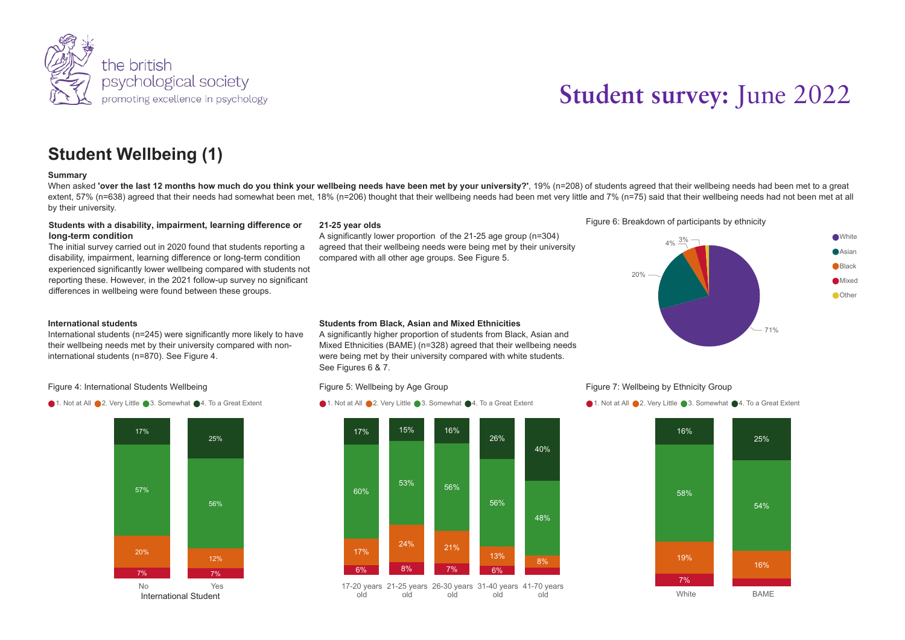

## **Student Wellbeing (1)**

### **Summary**

When asked 'over the last 12 months how much do you think your wellbeing needs have been met by your university?', 19% (n=208) of students agreed that their wellbeing needs had been met to a great extent, 57% (n=638) agreed that their needs had somewhat been met, 18% (n=206) thought that their wellbeing needs had been met very little and 7% (n=75) said that their wellbeing needs had not been met at all by their university.

### **Students with a disability, impairment, learning difference or long-term condition**

The initial survey carried out in 2020 found that students reporting a disability, impairment, learning difference or long-term condition experienced significantly lower wellbeing compared with students not reporting these. However, in the 2021 follow-up survey no significant differences in wellbeing were found between these groups.

### **International students**

International students (n=245) were significantly more likely to have their wellbeing needs met by their university compared with noninternational students (n=870). See Figure 4.

### Figure 4: International Students Wellbeing

● 1. Not at All ● 2. Very Little ● 3. Somewhat ● 4. To a Great Extent



### **21-25 year olds**

A significantly lower proportion of the 21-25 age group (n=304) agreed that their wellbeing needs were being met by their university compared with all other age groups. See Figure 5.



A significantly higher proportion of students from Black, Asian and Mixed Ethnicities (BAME) (n=328) agreed that their wellbeing needs were being met by their university compared with white students. See Figures 6 & 7.

### Figure 5: Wellbeing by Age Group

● 1. Not at All ● 2. Very Little ● 3. Somewhat ● 4. To a Great Extent



Figure 6: Breakdown of participants by ethnicity



Figure 7: Wellbeing by Ethnicity Group

● 1. Not at All ● 2. Very Little ● 3. Somewhat ● 4. To a Great Extent

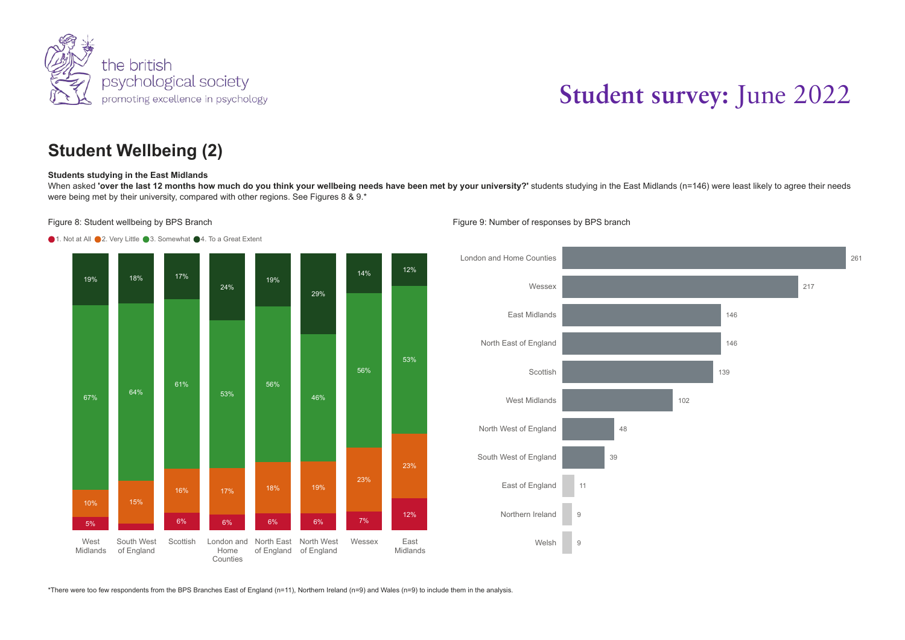

### **Student Wellbeing (2)**

### **Students studying in the East Midlands**

When asked 'over the last 12 months how much do you think your wellbeing needs have been met by your university?' students studying in the East Midlands (n=146) were least likely to agree their needs were being met by their university, compared with other regions. See Figures 8 & 9.\*



● 1. Not at All ● 2. Very Little ● 3. Somewhat ● 4. To a Great Extent







\*There were too few respondents from the BPS Branches East of England (n=11), Northern Ireland (n=9) and Wales (n=9) to include them in the analysis.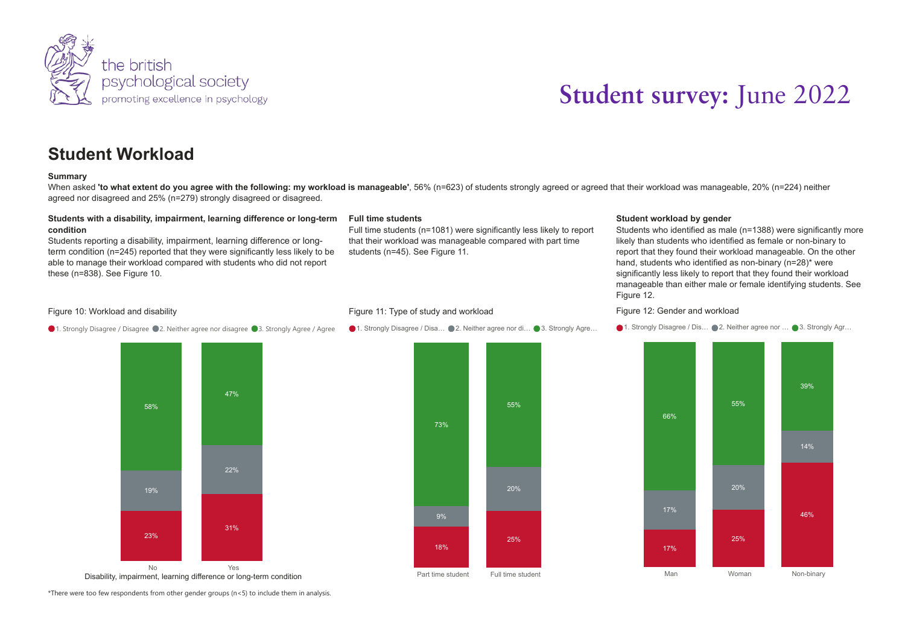

### **Student Workload**

#### **Summary**

When asked 'to what extent do you agree with the following: my workload is manageable', 56% (n=623) of students strongly agreed or agreed that their workload was manageable, 20% (n=224) neither agreed nor disagreed and 25% (n=279) strongly disagreed or disagreed.

### **Students with a disability, impairment, learning difference or long-term condition**

Students reporting a disability, impairment, learning difference or longterm condition (n=245) reported that they were significantly less likely to be able to manage their workload compared with students who did not report these (n=838). See Figure 10.

### **Full time students**

Full time students (n=1081) were significantly less likely to report that their workload was manageable compared with part time students (n=45). See Figure 11.

### **Student workload by gender**

Students who identified as male (n=1388) were significantly more likely than students who identified as female or non-binary to report that they found their workload manageable. On the other hand, students who identified as non-binary (n=28)\* were significantly less likely to report that they found their workload manageable than either male or female identifying students. See Figure 12.

### Figure 10: Workload and disability









\*There were too few respondents from other gender groups (n<5) to include them in analysis.

### Figure 11: Type of study and workload

● 1. Strongly Disagree / Disa... ● 2. Neither agree nor di… ● 3. Strongly Agre...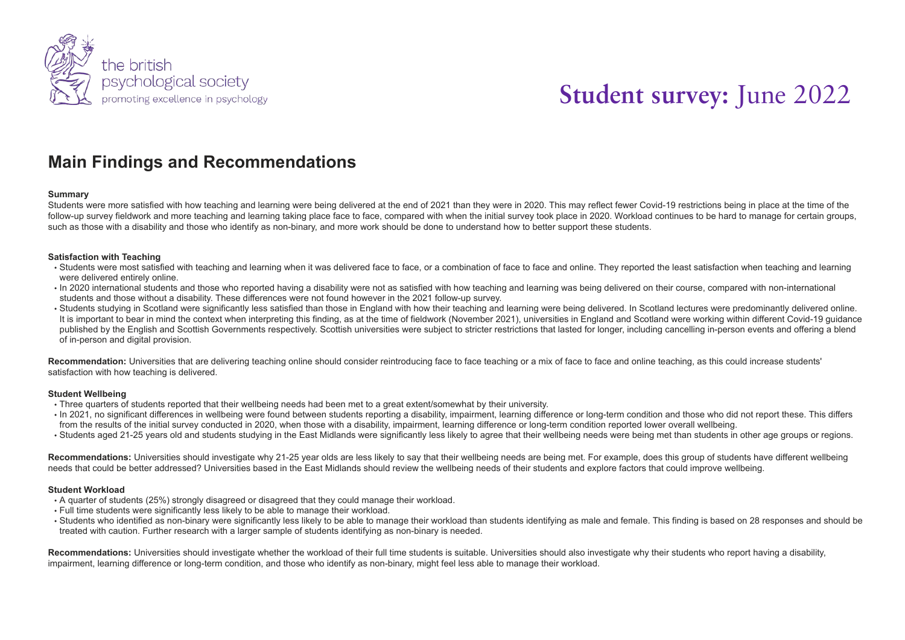

## **Main Findings and Recommendations**

### **Summary**

Students were more satisfied with how teaching and learning were being delivered at the end of 2021 than they were in 2020. This may reflect fewer Covid-19 restrictions being in place at the time of the follow-up survey fieldwork and more teaching and learning taking place face to face, compared with when the initial survey took place in 2020. Workload continues to be hard to manage for certain groups, such as those with a disability and those who identify as non-binary, and more work should be done to understand how to better support these students.

### **Satisfaction with Teaching**

- Students were most satisfied with teaching and learning when it was delivered face to face, or a combination of face to face and online. They reported the least satisfaction when teaching and learning were delivered entirely online.
- In 2020 international students and those who reported having a disability were not as satisfied with how teaching and learning was being delivered on their course, compared with non-international students and those without a disability. These differences were not found however in the 2021 follow-up survey.
- Students studying in Scotland were significantly less satisfied than those in England with how their teaching and learning were being delivered. In Scotland lectures were predominantly delivered online. It is important to bear in mind the context when interpreting this finding, as at the time of fieldwork (November 2021), universities in England and Scotland were working within different Covid-19 guidance published by the English and Scottish Governments respectively. Scottish universities were subject to stricter restrictions that lasted for longer, including cancelling in-person events and offering a blend of in-person and digital provision.

Recommendation: Universities that are delivering teaching online should consider reintroducing face to face teaching or a mix of face to face and online teaching, as this could increase students' satisfaction with how teaching is delivered.

### **Student Wellbeing**

- Three quarters of students reported that their wellbeing needs had been met to a great extent/somewhat by their university.
- In 2021, no significant differences in wellbeing were found between students reporting a disability, impairment, learning difference or long-term condition and those who did not report these. This differs from the results of the initial survey conducted in 2020, when those with a disability, impairment, learning difference or long-term condition reported lower overall wellbeing.
- Students aged 21-25 years old and students studying in the East Midlands were significantly less likely to agree that their wellbeing needs were being met than students in other age groups or regions.

**Recommendations:** Universities should investigate why 21-25 year olds are less likely to say that their wellbeing needs are being met. For example, does this group of students have different wellbeing needs that could be better addressed? Universities based in the East Midlands should review the wellbeing needs of their students and explore factors that could improve wellbeing.

### **Student Workload**

- A quarter of students (25%) strongly disagreed or disagreed that they could manage their workload.
- Full time students were significantly less likely to be able to manage their workload.
- Students who identified as non-binary were significantly less likely to be able to manage their workload than students identifying as male and female. This finding is based on 28 responses and should be treated with caution. Further research with a larger sample of students identifying as non-binary is needed.

Recommendations: Universities should investigate whether the workload of their full time students is suitable. Universities should also investigate why their students who report having a disability, impairment, learning difference or long-term condition, and those who identify as non-binary, might feel less able to manage their workload.